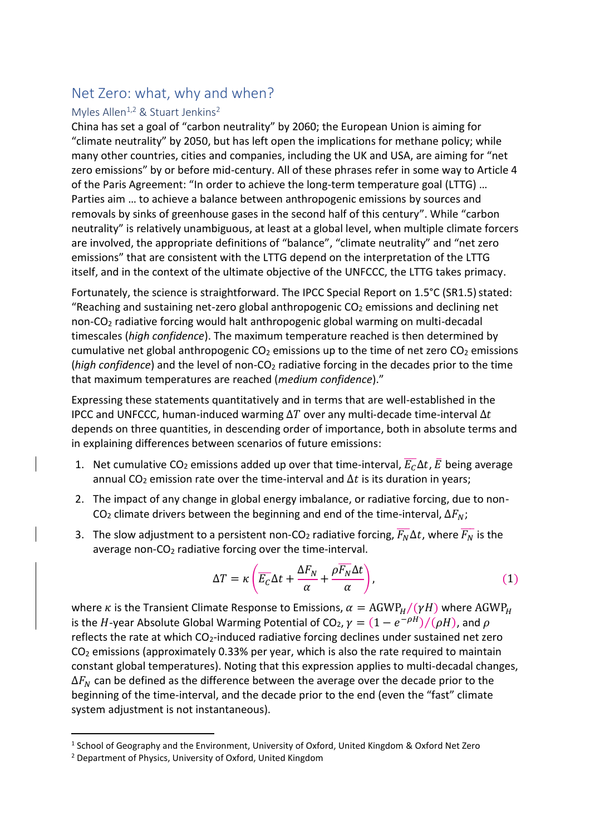## Net Zero: what, why and when?

## Myles Allen<sup>1,2</sup> & Stuart Jenkins<sup>2</sup>

China has set a goal of "carbon neutrality" by 2060; the European Union is aiming for "climate neutrality" by 2050, but has left open the implications for methane policy; while many other countries, cities and companies, including the UK and USA, are aiming for "net zero emissions" by or before mid-century. All of these phrases refer in some way to Article 4 of the Paris Agreement: "In order to achieve the long-term temperature goal (LTTG) … Parties aim … to achieve a balance between anthropogenic emissions by sources and removals by sinks of greenhouse gases in the second half of this century". While "carbon neutrality" is relatively unambiguous, at least at a global level, when multiple climate forcers are involved, the appropriate definitions of "balance", "climate neutrality" and "net zero emissions" that are consistent with the LTTG depend on the interpretation of the LTTG itself, and in the context of the ultimate objective of the UNFCCC, the LTTG takes primacy.

Fortunately, the science is straightforward. The IPCC Special Report on 1.5°C (SR1.5) stated: "Reaching and sustaining net-zero global anthropogenic  $CO<sub>2</sub>$  emissions and declining net non-CO<sup>2</sup> radiative forcing would halt anthropogenic global warming on multi-decadal timescales (*high confidence*). The maximum temperature reached is then determined by cumulative net global anthropogenic  $CO<sub>2</sub>$  emissions up to the time of net zero  $CO<sub>2</sub>$  emissions (*high confidence*) and the level of non-CO<sub>2</sub> radiative forcing in the decades prior to the time that maximum temperatures are reached (*medium confidence*)."

Expressing these statements quantitatively and in terms that are well-established in the IPCC and UNFCCC, human-induced warming  $\Delta T$  over any multi-decade time-interval  $\Delta t$ depends on three quantities, in descending order of importance, both in absolute terms and in explaining differences between scenarios of future emissions:

- 1. Net cumulative CO<sub>2</sub> emissions added up over that time-interval,  $\overline{E_C}\Delta t$ ,  $\overline{E}$  being average annual CO<sub>2</sub> emission rate over the time-interval and  $\Delta t$  is its duration in years;
- 2. The impact of any change in global energy imbalance, or radiative forcing, due to non-CO<sub>2</sub> climate drivers between the beginning and end of the time-interval,  $\Delta F_N$ ;
- 3. The slow adjustment to a persistent non-CO<sub>2</sub> radiative forcing,  $\overline{F_{N}}\Delta t$ , where  $\overline{F_{N}}$  is the average non- $CO<sub>2</sub>$  radiative forcing over the time-interval.

$$
\Delta T = \kappa \left( \overline{E_C} \Delta t + \frac{\Delta F_N}{\alpha} + \frac{\rho \overline{F_N} \Delta t}{\alpha} \right),\tag{1}
$$

where *k* is the Transient Climate Response to Emissions,  $\alpha = AGWP_H/(\gamma H)$  where AGWP<sub>H</sub> is the  $H$ -year Absolute Global Warming Potential of CO<sub>2</sub>,  $\gamma = (1 - e^{-\rho H})/(\rho H)$ , and  $\rho$ reflects the rate at which CO<sub>2</sub>-induced radiative forcing declines under sustained net zero CO<sup>2</sup> emissions (approximately 0.33% per year, which is also the rate required to maintain constant global temperatures). Noting that this expression applies to multi-decadal changes,  $\Delta F_N$  can be defined as the difference between the average over the decade prior to the beginning of the time-interval, and the decade prior to the end (even the "fast" climate system adjustment is not instantaneous).

<sup>&</sup>lt;sup>1</sup> School of Geography and the Environment, University of Oxford, United Kingdom & Oxford Net Zero

<sup>2</sup> Department of Physics, University of Oxford, United Kingdom